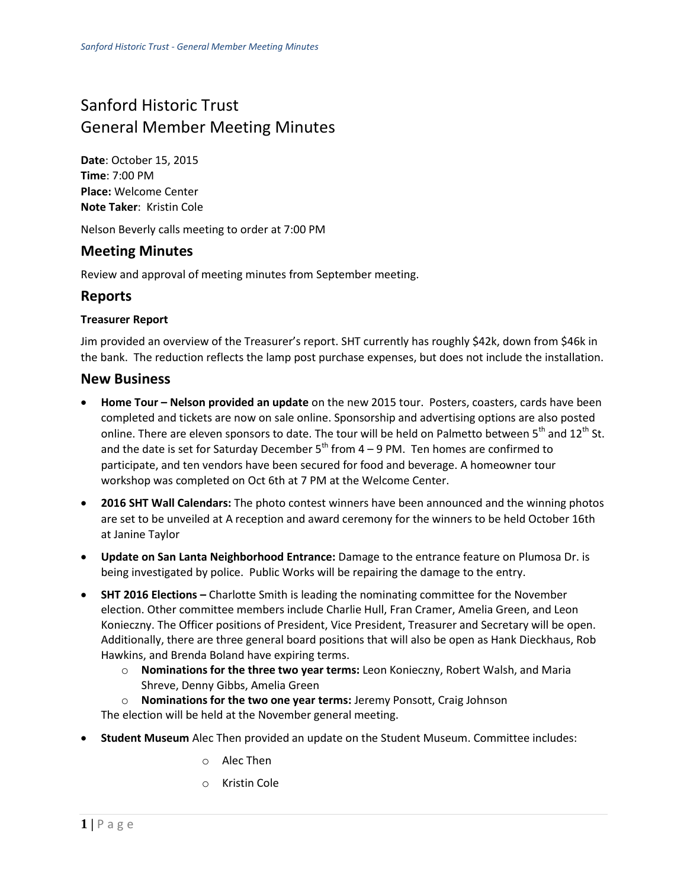# Sanford Historic Trust General Member Meeting Minutes

**Date**: October 15, 2015 **Time**: 7:00 PM **Place:** Welcome Center **Note Taker**: Kristin Cole

Nelson Beverly calls meeting to order at 7:00 PM

## **Meeting Minutes**

Review and approval of meeting minutes from September meeting.

## **Reports**

#### **Treasurer Report**

Jim provided an overview of the Treasurer's report. SHT currently has roughly \$42k, down from \$46k in the bank. The reduction reflects the lamp post purchase expenses, but does not include the installation.

#### **New Business**

- **Home Tour Nelson provided an update** on the new 2015 tour. Posters, coasters, cards have been completed and tickets are now on sale online. Sponsorship and advertising options are also posted online. There are eleven sponsors to date. The tour will be held on Palmetto between  $5<sup>th</sup>$  and  $12<sup>th</sup>$  St. and the date is set for Saturday December  $5<sup>th</sup>$  from 4 – 9 PM. Ten homes are confirmed to participate, and ten vendors have been secured for food and beverage. A homeowner tour workshop was completed on Oct 6th at 7 PM at the Welcome Center.
- **2016 SHT Wall Calendars:** The photo contest winners have been announced and the winning photos are set to be unveiled at A reception and award ceremony for the winners to be held October 16th at Janine Taylor
- **Update on San Lanta Neighborhood Entrance:** Damage to the entrance feature on Plumosa Dr. is being investigated by police. Public Works will be repairing the damage to the entry.
- **SHT 2016 Elections –** Charlotte Smith is leading the nominating committee for the November election. Other committee members include Charlie Hull, Fran Cramer, Amelia Green, and Leon Konieczny. The Officer positions of President, Vice President, Treasurer and Secretary will be open. Additionally, there are three general board positions that will also be open as Hank Dieckhaus, Rob Hawkins, and Brenda Boland have expiring terms.
	- o **Nominations for the three two year terms:** Leon Konieczny, Robert Walsh, and Maria Shreve, Denny Gibbs, Amelia Green
	- o **Nominations for the two one year terms:** Jeremy Ponsott, Craig Johnson

The election will be held at the November general meeting.

- **Student Museum** Alec Then provided an update on the Student Museum. Committee includes:
	- o Alec Then
	- o Kristin Cole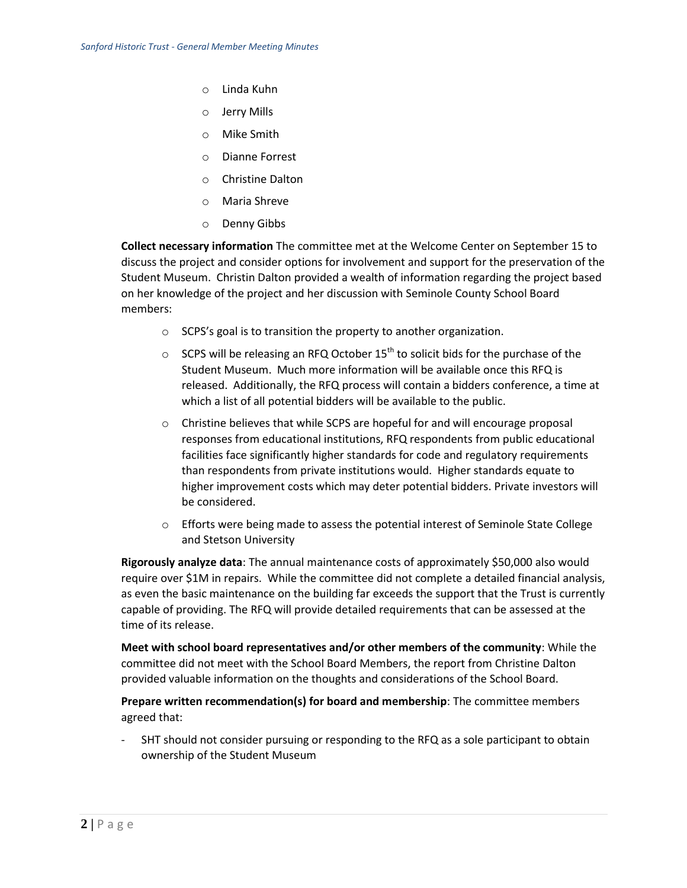- o Linda Kuhn
- o Jerry Mills
- o Mike Smith
- o Dianne Forrest
- o Christine Dalton
- o Maria Shreve
- o Denny Gibbs

**Collect necessary information** The committee met at the Welcome Center on September 15 to discuss the project and consider options for involvement and support for the preservation of the Student Museum. Christin Dalton provided a wealth of information regarding the project based on her knowledge of the project and her discussion with Seminole County School Board members:

- o SCPS's goal is to transition the property to another organization.
- $\circ$  SCPS will be releasing an RFQ October 15<sup>th</sup> to solicit bids for the purchase of the Student Museum. Much more information will be available once this RFQ is released. Additionally, the RFQ process will contain a bidders conference, a time at which a list of all potential bidders will be available to the public.
- o Christine believes that while SCPS are hopeful for and will encourage proposal responses from educational institutions, RFQ respondents from public educational facilities face significantly higher standards for code and regulatory requirements than respondents from private institutions would. Higher standards equate to higher improvement costs which may deter potential bidders. Private investors will be considered.
- $\circ$  Efforts were being made to assess the potential interest of Seminole State College and Stetson University

**Rigorously analyze data**: The annual maintenance costs of approximately \$50,000 also would require over \$1M in repairs. While the committee did not complete a detailed financial analysis, as even the basic maintenance on the building far exceeds the support that the Trust is currently capable of providing. The RFQ will provide detailed requirements that can be assessed at the time of its release.

**Meet with school board representatives and/or other members of the community**: While the committee did not meet with the School Board Members, the report from Christine Dalton provided valuable information on the thoughts and considerations of the School Board.

**Prepare written recommendation(s) for board and membership**: The committee members agreed that:

- SHT should not consider pursuing or responding to the RFQ as a sole participant to obtain ownership of the Student Museum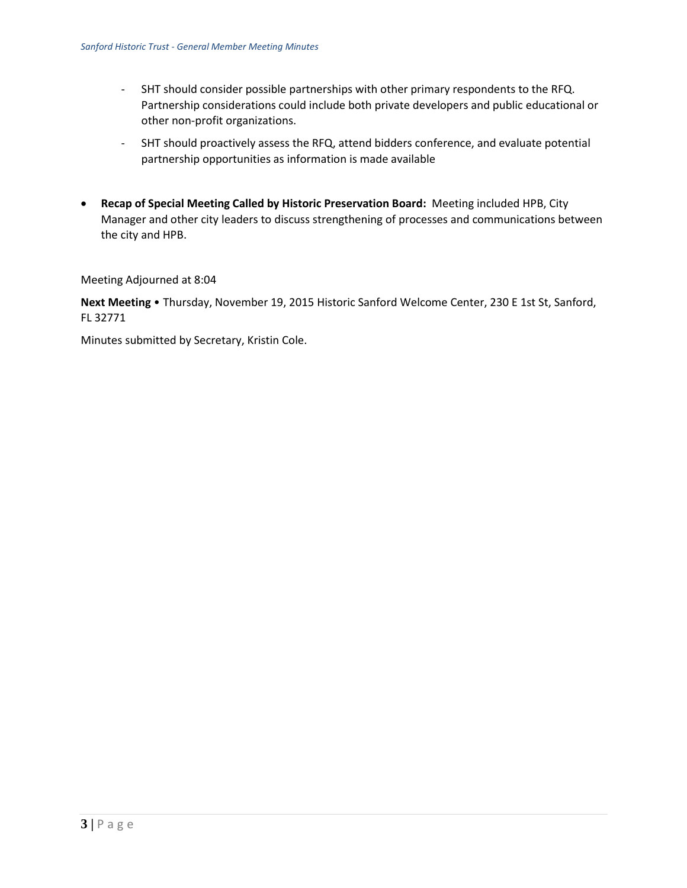- SHT should consider possible partnerships with other primary respondents to the RFQ. Partnership considerations could include both private developers and public educational or other non-profit organizations.
- SHT should proactively assess the RFQ, attend bidders conference, and evaluate potential partnership opportunities as information is made available
- **Recap of Special Meeting Called by Historic Preservation Board:** Meeting included HPB, City Manager and other city leaders to discuss strengthening of processes and communications between the city and HPB.

Meeting Adjourned at 8:04

**Next Meeting** • Thursday, November 19, 2015 Historic Sanford Welcome Center, 230 E 1st St, Sanford, FL 32771

Minutes submitted by Secretary, Kristin Cole.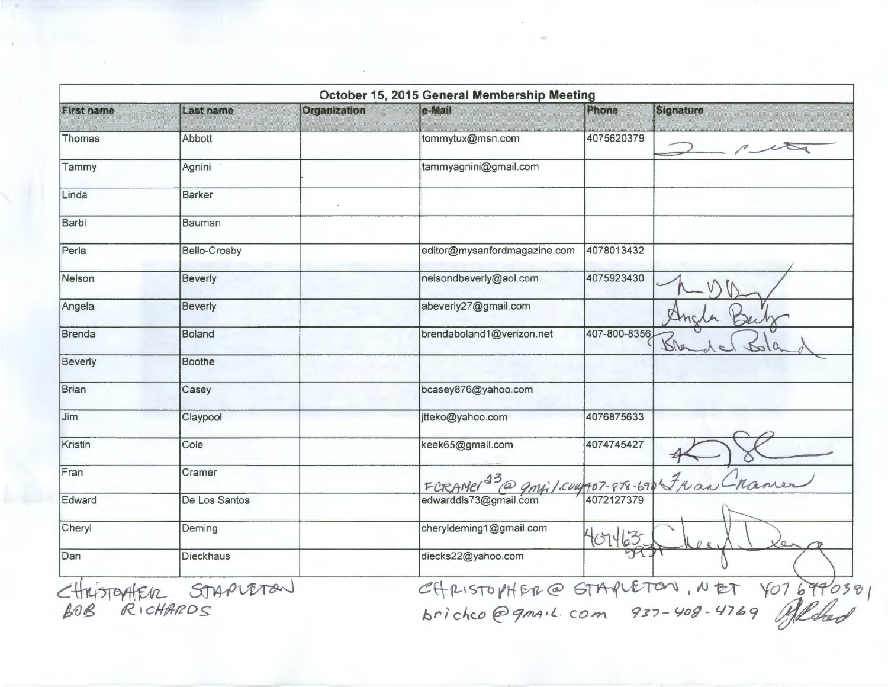|                |                     | Organization | e-Mail                                              | Phone        | <b>Signature</b> |
|----------------|---------------------|--------------|-----------------------------------------------------|--------------|------------------|
| Thomas         | Abbott              |              | tommytux@msn.com                                    | 4075620379   |                  |
| Tammy          | Agnini              |              | tammyagnini@gmail.com                               |              |                  |
| Linda          | <b>Barker</b>       |              |                                                     |              |                  |
| Barbi          | <b>Bauman</b>       |              |                                                     |              |                  |
| Perla          | <b>Bello-Crosby</b> |              | editor@mysanfordmagazine.com                        | 4078013432   |                  |
| Nelson         | <b>Beverly</b>      |              | nelsondbeverly@aol.com                              | 4075923430   |                  |
| Angela         | <b>Beverly</b>      |              | abeverly27@gmail.com                                |              |                  |
| <b>Brenda</b>  | <b>Boland</b>       |              | brendaboland1@verizon.net                           | 407-800-8356 |                  |
| <b>Beverly</b> | <b>Boothe</b>       |              |                                                     |              |                  |
| <b>Brian</b>   | Casey               |              | bcasey876@yahoo.com                                 |              |                  |
| Jim            | Claypool            |              | jtteko@yahoo.com                                    | 4076875633   |                  |
| Kristin        | Cole                |              | keek65@gmail.com                                    | 4074745427   |                  |
| Fran           | Cramer              |              |                                                     |              |                  |
| Edward         | De Los Santos       |              | FCRAMER <sup>13</sup> @ 9mpil.com 107-878-690 FK an |              |                  |
| Cheryl         | Deming              |              | cheryldeming1@gmail.com                             | 401463       |                  |
| Dan            | Dieckhaus           |              | diecks22@yahoo.com                                  |              |                  |

<u> 1999년 - 대한민국의 대한민</u>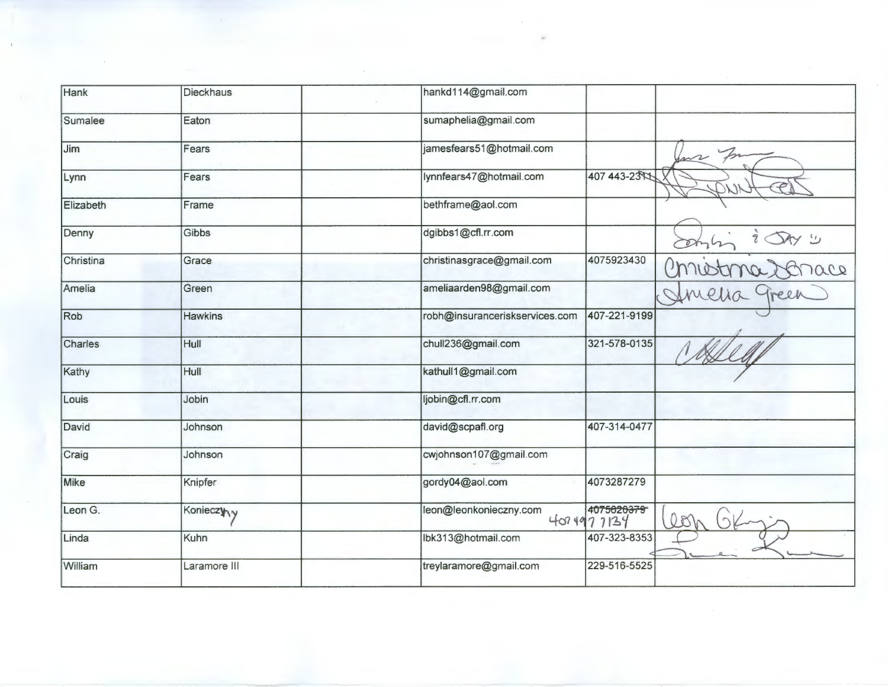| Hank      | <b>Dieckhaus</b> | hankd114@gmail.com             |                          |    |
|-----------|------------------|--------------------------------|--------------------------|----|
| Sumalee   | Eaton            | sumaphelia@gmail.com           |                          |    |
| Jim       | Fears            | jamesfears51@hotmail.com       |                          |    |
| Lynn      | Fears            | lynnfears47@hotmail.com        | 407 443-23 4             |    |
| Elizabeth | Frame            | bethframe@aol.com              |                          |    |
| Denny     | Gibbs            | dgibbs1@cfl.rr.com             |                          |    |
| Christina | Grace            | christinasgrace@gmail.com      | 4075923430               |    |
| Amelia    | Green            | ameliaarden98@gmail.com        |                          |    |
| Rob       | <b>Hawkins</b>   | robh@insuranceriskservices.com | 407-221-9199             |    |
| Charles   | Hull             | chull236@gmail.com             | 321-578-0135             |    |
| Kathy     | Hull             | kathull1@gmail.com             |                          |    |
| Louis     | Jobin            | ljobin@cfl.rr.com              |                          |    |
| David     | Johnson          | david@scpafl.org               | 407-314-0477             |    |
| Craig     | Johnson          | cwjohnson107@gmail.com         |                          |    |
| Mike      | Knipfer          | gordy04@aol.com                | 4073287279               |    |
| Leon G.   | Konieczyny       | leon@leonkonieczny.com         | 4075620379<br>4074977134 | 08 |
| Linda     | Kuhn             | lbk313@hotmail.com             | 407-323-8353             |    |
| William   | Laramore III     | treylaramore@gmail.com         | 229-516-5525             |    |

 $\label{eq:2} \frac{1}{\sqrt{2}}\sum_{i=1}^n\frac{1}{\sqrt{2}}\sum_{j=1}^n\frac{1}{j!}\sum_{j=1}^n\frac{1}{j!}\sum_{j=1}^n\frac{1}{j!}\sum_{j=1}^n\frac{1}{j!}\sum_{j=1}^n\frac{1}{j!}\sum_{j=1}^n\frac{1}{j!}\sum_{j=1}^n\frac{1}{j!}\sum_{j=1}^n\frac{1}{j!}\sum_{j=1}^n\frac{1}{j!}\sum_{j=1}^n\frac{1}{j!}\sum_{j=1}^n\frac{1}{j!}\sum_{j=1}^$ 

 $\mathcal{L}_{\mathcal{A}}$ 

 $\bar{u}$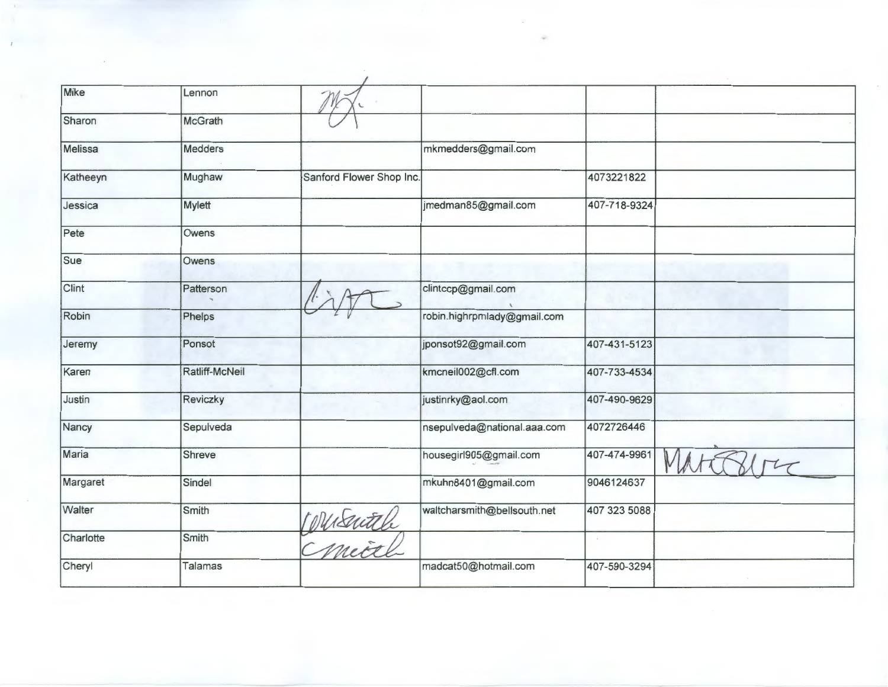| Mike      | Lennon         |                          |                             |              |  |
|-----------|----------------|--------------------------|-----------------------------|--------------|--|
| Sharon    | McGrath        |                          |                             |              |  |
| Melissa   | Medders        |                          | mkmedders@gmail.com         |              |  |
| Katheeyn  | Mughaw         | Sanford Flower Shop Inc. |                             | 4073221822   |  |
| Jessica   | Mylett         |                          | jmedman85@gmail.com         | 407-718-9324 |  |
| Pete      | Owens          |                          |                             |              |  |
| Sue       | Owens          |                          |                             |              |  |
| Clint     | Patterson      |                          | clintccp@gmail.com          |              |  |
| Robin     | Phelps         |                          | robin.highrpmlady@gmail.com |              |  |
| Jeremy    | Ponsot         |                          | jponsot92@gmail.com         | 407-431-5123 |  |
| Karen     | Ratliff-McNeil |                          | kmcneil002@cfl.com          | 407-733-4534 |  |
| Justin    | Reviczky       |                          | justinrky@aol.com           | 407-490-9629 |  |
| Nancy     | Sepulveda      |                          | nsepulveda@national.aaa.com | 4072726446   |  |
| Maria     | Shreve         |                          | housegirl905@gmail.com      | 407-474-9961 |  |
| Margaret  | Sindel         |                          | mkuhn8401@gmail.com         | 9046124637   |  |
| Walter    | Smith          |                          | waltcharsmith@bellsouth.net | 407 323 5088 |  |
| Charlotte | Smith          | DUSUEU                   |                             | $\epsilon$   |  |
| Cheryl    | Talamas        |                          | madcat50@hotmail.com        | 407-590-3294 |  |
|           |                |                          |                             |              |  |

 $\bar{\psi}$